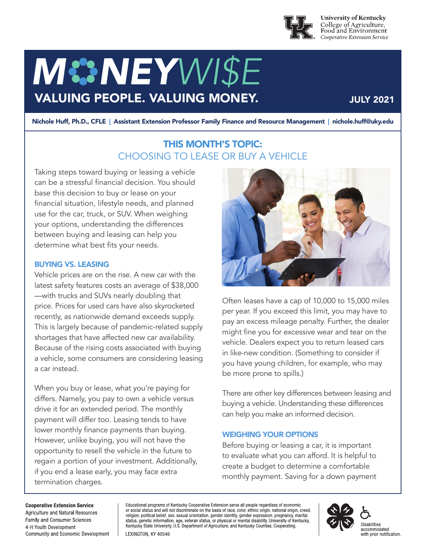

**University of Kentucky** College of Agriculture,<br>Food and Environment Cooperative Extension Service

# *M NEYWI\$E* VALUING PEOPLE. VALUING MONEY.

### JULY 2021

Nichole Huff, Ph.D., CFLE | Assistant Extension Professor Family Finance and Resource Management | nichole.huff@uky.edu

## THIS MONTH'S TOPIC: CHOOSING TO LEASE OR BUY A VEHICLE

Taking steps toward buying or leasing a vehicle can be a stressful financial decision. You should base this decision to buy or lease on your financial situation, lifestyle needs, and planned use for the car, truck, or SUV. When weighing your options, understanding the differences between buying and leasing can help you determine what best fits your needs.

#### BUYING VS. LEASING

Vehicle prices are on the rise. A new car with the latest safety features costs an average of \$38,000 —with trucks and SUVs nearly doubling that price. Prices for used cars have also skyrocketed recently, as nationwide demand exceeds supply. This is largely because of pandemic-related supply shortages that have affected new car availability. Because of the rising costs associated with buying a vehicle, some consumers are considering leasing a car instead.

When you buy or lease, what you're paying for differs. Namely, you pay to own a vehicle versus drive it for an extended period. The monthly payment will differ too. Leasing tends to have lower monthly finance payments than buying. However, unlike buying, you will not have the opportunity to resell the vehicle in the future to regain a portion of your investment. Additionally, if you end a lease early, you may face extra termination charges.



Often leases have a cap of 10,000 to 15,000 miles per year. If you exceed this limit, you may have to pay an excess mileage penalty. Further, the dealer might fine you for excessive wear and tear on the vehicle. Dealers expect you to return leased cars in like-new condition. (Something to consider if you have young children, for example, who may be more prone to spills.)

There are other key differences between leasing and buying a vehicle. Understanding these differences can help you make an informed decision.

#### WEIGHING YOUR OPTIONS

Before buying or leasing a car, it is important to evaluate what you can afford. It is helpful to create a budget to determine a comfortable monthly payment. Saving for a down payment

#### **Cooperative Extension Service**

Agriculture and Natural Resources Family and Consumer Sciences 4-H Youth Development Community and Economic Development Educational programs of Kentucky Cooperative Extension serve all people regardless of economic<br>or social status and will not discriminate on the basis of race, color, ethnic origin, national origin, creed, religion, political belief, sex, sexual orientation, gender identity, gender expression, pregnancy, marital status, genetic information, age, veteran status, or physical or mental disability. University of Kentucky, Kentucky State University, U.S. Department of Agriculture, and Kentucky Counties, Cooperating. LEXINGTON, KY 40546